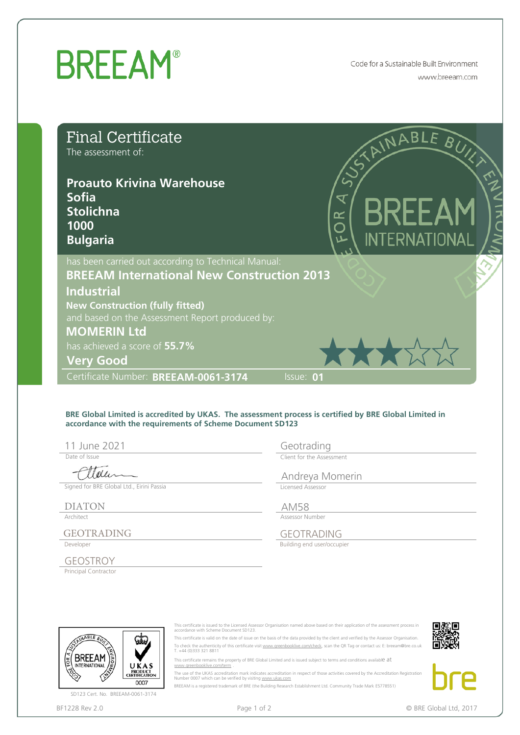## **BREEAM®**

Code for a Sustainable Built Environment www.breeam.com

| <b>Final Certificate</b><br>The assessment of:<br><b>Proauto Krivina Warehouse</b><br><b>Sofia</b><br><b>Stolichna</b><br>1000 |                                                                                                                                                              | RINABLE BUYS<br><b>BREEAM</b><br>6<br>O                                                                                                                                                                                                                                                                                                                                                                                                                                                                                                                                                                                                                                                                                                                                                                           |                        |
|--------------------------------------------------------------------------------------------------------------------------------|--------------------------------------------------------------------------------------------------------------------------------------------------------------|-------------------------------------------------------------------------------------------------------------------------------------------------------------------------------------------------------------------------------------------------------------------------------------------------------------------------------------------------------------------------------------------------------------------------------------------------------------------------------------------------------------------------------------------------------------------------------------------------------------------------------------------------------------------------------------------------------------------------------------------------------------------------------------------------------------------|------------------------|
| <b>Bulgaria</b>                                                                                                                |                                                                                                                                                              | <b>INTERNATIONAL</b>                                                                                                                                                                                                                                                                                                                                                                                                                                                                                                                                                                                                                                                                                                                                                                                              |                        |
|                                                                                                                                | has been carried out according to Technical Manual:<br><b>BREEAM International New Construction 2013</b>                                                     |                                                                                                                                                                                                                                                                                                                                                                                                                                                                                                                                                                                                                                                                                                                                                                                                                   |                        |
| <b>Industrial</b>                                                                                                              |                                                                                                                                                              |                                                                                                                                                                                                                                                                                                                                                                                                                                                                                                                                                                                                                                                                                                                                                                                                                   |                        |
| <b>New Construction (fully fitted)</b>                                                                                         |                                                                                                                                                              |                                                                                                                                                                                                                                                                                                                                                                                                                                                                                                                                                                                                                                                                                                                                                                                                                   |                        |
| <b>MOMERIN Ltd</b>                                                                                                             | and based on the Assessment Report produced by:                                                                                                              |                                                                                                                                                                                                                                                                                                                                                                                                                                                                                                                                                                                                                                                                                                                                                                                                                   |                        |
| has achieved a score of 55.7%                                                                                                  |                                                                                                                                                              |                                                                                                                                                                                                                                                                                                                                                                                                                                                                                                                                                                                                                                                                                                                                                                                                                   |                        |
| <b>Very Good</b>                                                                                                               |                                                                                                                                                              | ****                                                                                                                                                                                                                                                                                                                                                                                                                                                                                                                                                                                                                                                                                                                                                                                                              |                        |
| Certificate Number: BREEAM-0061-3174                                                                                           |                                                                                                                                                              | Issue: 01                                                                                                                                                                                                                                                                                                                                                                                                                                                                                                                                                                                                                                                                                                                                                                                                         |                        |
| 11 June 2021                                                                                                                   | accordance with the requirements of Scheme Document SD123                                                                                                    | BRE Global Limited is accredited by UKAS. The assessment process is certified by BRE Global Limited in<br>Geotrading                                                                                                                                                                                                                                                                                                                                                                                                                                                                                                                                                                                                                                                                                              |                        |
| Date of Issue                                                                                                                  |                                                                                                                                                              | Client for the Assessment                                                                                                                                                                                                                                                                                                                                                                                                                                                                                                                                                                                                                                                                                                                                                                                         |                        |
| Tole<br>Signed for BRE Global Ltd., Eirini Passia                                                                              |                                                                                                                                                              | Andreya Momerin                                                                                                                                                                                                                                                                                                                                                                                                                                                                                                                                                                                                                                                                                                                                                                                                   |                        |
|                                                                                                                                |                                                                                                                                                              | Licensed Assessor                                                                                                                                                                                                                                                                                                                                                                                                                                                                                                                                                                                                                                                                                                                                                                                                 |                        |
| <b>DIATON</b><br>Architect                                                                                                     |                                                                                                                                                              | <b>AM58</b><br>Assessor Number                                                                                                                                                                                                                                                                                                                                                                                                                                                                                                                                                                                                                                                                                                                                                                                    |                        |
| <b>GEOTRADING</b>                                                                                                              |                                                                                                                                                              | <b>GEOTRADING</b>                                                                                                                                                                                                                                                                                                                                                                                                                                                                                                                                                                                                                                                                                                                                                                                                 |                        |
| Developer                                                                                                                      |                                                                                                                                                              | Building end user/occupier                                                                                                                                                                                                                                                                                                                                                                                                                                                                                                                                                                                                                                                                                                                                                                                        |                        |
| <b>GEOSTROY</b>                                                                                                                |                                                                                                                                                              |                                                                                                                                                                                                                                                                                                                                                                                                                                                                                                                                                                                                                                                                                                                                                                                                                   |                        |
| Principal Contractor                                                                                                           |                                                                                                                                                              |                                                                                                                                                                                                                                                                                                                                                                                                                                                                                                                                                                                                                                                                                                                                                                                                                   |                        |
|                                                                                                                                |                                                                                                                                                              |                                                                                                                                                                                                                                                                                                                                                                                                                                                                                                                                                                                                                                                                                                                                                                                                                   |                        |
| <b>JABLE</b><br>BKEEAM<br><b>INTERNATIONAL</b><br>UKAS<br>PRODUCT<br>CERTIFICATION<br>0007<br>SD123 Cert. No. BREEAM-0061-3174 | accordance with Scheme Document SD123.<br>T. +44 (0)333 321 8811<br>www.areenbooklive.com/term<br>Number 0007 which can be verified by visiting www.ukas.com | This certificate is issued to the Licensed Assessor Organisation named above based on their application of the assessment process in<br>This certificate is valid on the date of issue on the basis of the data provided by the client and verified by the Assessor Organisation.<br>To check the authenticity of this certificate visit www.greenbooklive.com/check, scan the QR Tag or contact us: E: breeam@bre.co.uk<br>This certificate remains the property of BRE Global Limited and is issued subject to terms and conditions available at<br>The use of the UKAS accreditation mark indicates accreditation in respect of those activities covered by the Accreditation Registration<br>BREEAM is a registered trademark of BRE (the Building Research Establishment Ltd. Community Trade Mark E5778551) |                        |
| BF1228 Rev 2.0                                                                                                                 | Page 1 of 2                                                                                                                                                  |                                                                                                                                                                                                                                                                                                                                                                                                                                                                                                                                                                                                                                                                                                                                                                                                                   | © BRE Global Ltd, 2017 |

Date of Issue